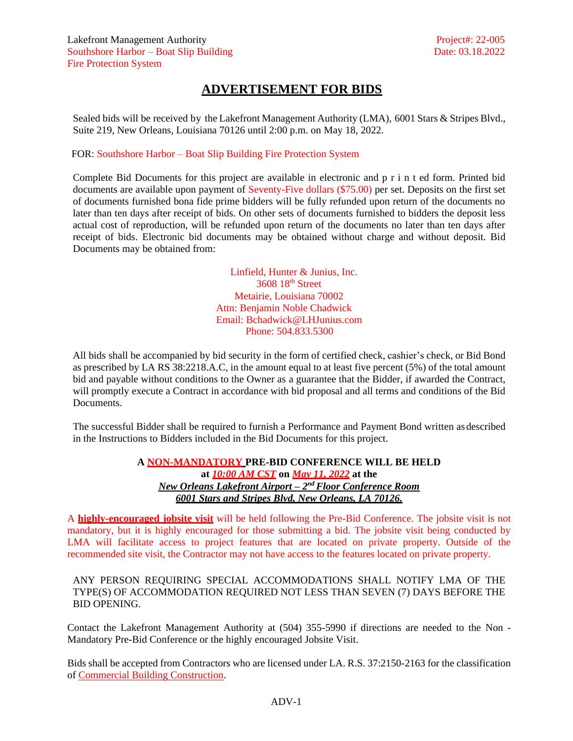## **ADVERTISEMENT FOR BIDS**

Sealed bids will be received by the Lakefront Management Authority (LMA), 6001 Stars & Stripes Blvd., Suite 219, New Orleans, Louisiana 70126 until 2:00 p.m. on May 18, 2022.

FOR: Southshore Harbor – Boat Slip Building Fire Protection System

Complete Bid Documents for this project are available in electronic and p r i n t ed form. Printed bid documents are available upon payment of Seventy-Five dollars (\$75.00) per set. Deposits on the first set of documents furnished bona fide prime bidders will be fully refunded upon return of the documents no later than ten days after receipt of bids. On other sets of documents furnished to bidders the deposit less actual cost of reproduction, will be refunded upon return of the documents no later than ten days after receipt of bids. Electronic bid documents may be obtained without charge and without deposit. Bid Documents may be obtained from:

> Linfield, Hunter & Junius, Inc. 3608 18<sup>th</sup> Street Metairie, Louisiana 70002 Attn: Benjamin Noble Chadwick Email: [Bchadwick@LHJunius.com](mailto:Bchadwick@LHJunius.com) Phone: 504.833.5300

All bids shall be accompanied by bid security in the form of certified check, cashier's check, or Bid Bond as prescribed by LA RS 38:2218.A.C, in the amount equal to at least five percent (5%) of the total amount bid and payable without conditions to the Owner as a guarantee that the Bidder, if awarded the Contract, will promptly execute a Contract in accordance with bid proposal and all terms and conditions of the Bid Documents.

The successful Bidder shall be required to furnish a Performance and Payment Bond written asdescribed in the Instructions to Bidders included in the Bid Documents for this project.

> **A NON-MANDATORY PRE-BID CONFERENCE WILL BE HELD at** *10:00 AM CST* **on** *May 11, 2022* **at the** *New Orleans Lakefront Airport – 2 nd Floor Conference Room 6001 Stars and Stripes Blvd, New Orleans, LA 70126.*

A **highly-encouraged jobsite visit** will be held following the Pre-Bid Conference. The jobsite visit is not mandatory, but it is highly encouraged for those submitting a bid. The jobsite visit being conducted by LMA will facilitate access to project features that are located on private property. Outside of the recommended site visit, the Contractor may not have access to the features located on private property.

## ANY PERSON REQUIRING SPECIAL ACCOMMODATIONS SHALL NOTIFY LMA OF THE TYPE(S) OF ACCOMMODATION REQUIRED NOT LESS THAN SEVEN (7) DAYS BEFORE THE BID OPENING.

Contact the Lakefront Management Authority at (504) 355-5990 if directions are needed to the Non - Mandatory Pre-Bid Conference or the highly encouraged Jobsite Visit.

Bids shall be accepted from Contractors who are licensed under LA. R.S. 37:2150-2163 for the classification of Commercial Building Construction.